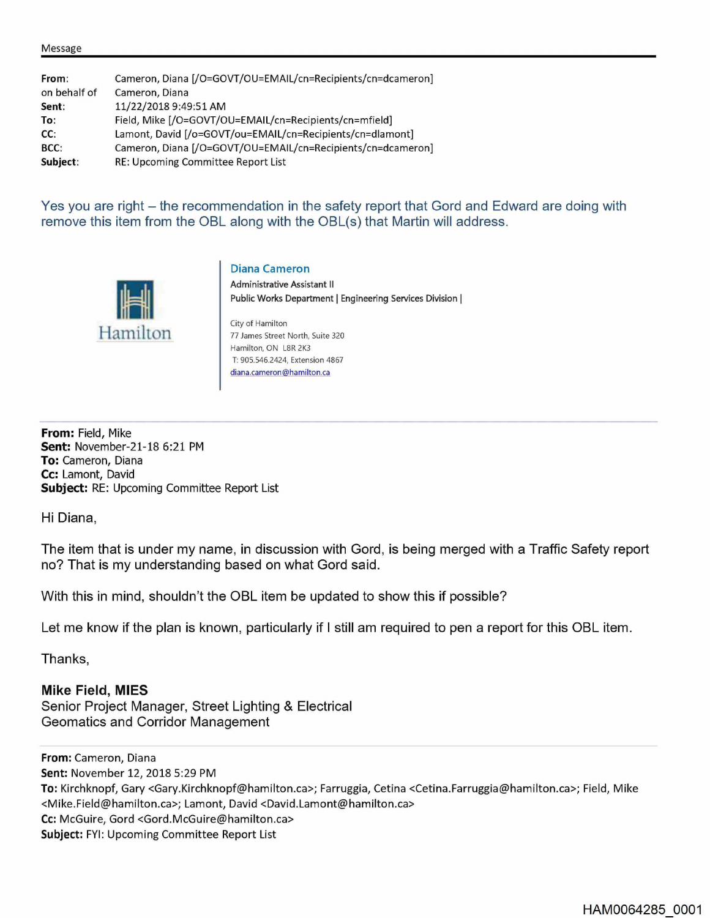| From:        | Cameron, Diana [/O=GOVT/OU=EMAIL/cn=Recipients/cn=dcameron] |  |  |
|--------------|-------------------------------------------------------------|--|--|
| on behalf of | Cameron, Diana                                              |  |  |
| Sent:        | 11/22/2018 9:49:51 AM                                       |  |  |
| To:          | Field, Mike [/O=GOVT/OU=EMAIL/cn=Recipients/cn=mfield]      |  |  |
| CC:          | Lamont, David [/o=GOVT/ou=EMAIL/cn=Recipients/cn=dlamont]   |  |  |
| BCC:         | Cameron, Diana [/O=GOVT/OU=EMAIL/cn=Recipients/cn=dcameron] |  |  |
| Subject:     | RE: Upcoming Committee Report List                          |  |  |
|              |                                                             |  |  |

Yes you are right – the recommendation in the safety report that Gord and Edward are doing with remove this item from the OBL along with the OBL(s) that Martin will address.



**Diana Cameron** 

**Administrative Assistant** II **Public Works Department** I **Engineering Services Division** I

City of Hamilton 77 James Street North, Suite 320 Hamilton, ON LBR 2K3 T: 905.546.2424, Extension 4867 diana.cameron@hamilton.ca

**From:** Field, Mike **Sent:** November-21-18 6:21 PM **To:** Cameron, Diana **Cc:** Lamont, David **Subject:** RE: Upcoming Committee Report List

Hi Diana,

The item that is under my name, in discussion with Gord, is being merged with a Traffic Safety report no? That is my understanding based on what Gord said.

With this in mind, shouldn't the OBL item be updated to show this if possible?

Let me know if the plan is known, particularly if I still am required to pen a report for this OBL item.

Thanks,

**Mike Field, MIES**  Senior Project Manager, Street Lighting & Electrical Geomatics and Corridor Management

**From:** Cameron, Diana **Sent:** November 12, 2018 5:29 PM **To:** Kirchknopf, Gary <Gary.Kirchknopf@hamilton.ca>; Farruggia, Cetina <Cetina.Farruggia@hamilton.ca>; Field, Mike <Mike.Field@hamilton.ca>; Lamont, David <David.Lamont@hamilton.ca> **Cc:** McGuire, Gord <Gord.McGuire@hamilton.ca> **Subject: FYI: Upcoming Committee Report List**